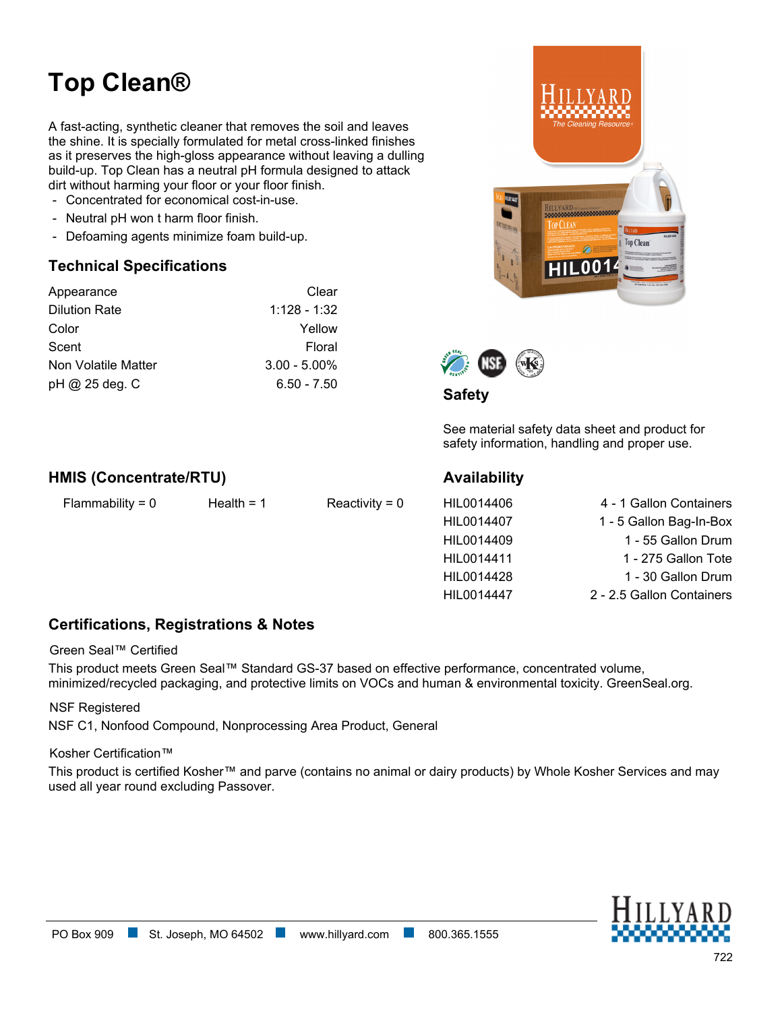# **Top Clean®**

A fast-acting, synthetic cleaner that removes the soil and leaves the shine. It is specially formulated for metal cross-linked finishes as it preserves the high-gloss appearance without leaving a dulling build-up. Top Clean has a neutral pH formula designed to attack dirt without harming your floor or your floor finish.

- Concentrated for economical cost-in-use.
- Neutral pH won t harm floor finish.
- Defoaming agents minimize foam build-up.

#### **Technical Specifications**

| Appearance           | Clear           |
|----------------------|-----------------|
| <b>Dilution Rate</b> | $1:128 - 1:32$  |
| Color                | Yellow          |
| Scent                | Floral          |
| Non Volatile Matter  | $3.00 - 5.00\%$ |
| pH @ 25 deg. C       | $6.50 - 7.50$   |





**Safety**

See material safety data sheet and product for safety information, handling and proper use.

#### **HMIS (Concentrate/RTU)**

Flammability =  $0$  Health = 1 Reactivity = 0

## **Availability**

| 4 - 1 Gallon Containers   |
|---------------------------|
| 1 - 5 Gallon Bag-In-Box   |
| 1 - 55 Gallon Drum        |
| 1 - 275 Gallon Tote       |
| 1 - 30 Gallon Drum        |
| 2 - 2.5 Gallon Containers |
|                           |

## **Certifications, Registrations & Notes**

Green Seal™ Certified

This product meets Green Seal™ Standard GS-37 based on effective performance, concentrated volume, minimized/recycled packaging, and protective limits on VOCs and human & environmental toxicity. GreenSeal.org.

NSF Registered

NSF C1, Nonfood Compound, Nonprocessing Area Product, General

Kosher Certification™

This product is certified Kosher™ and parve (contains no animal or dairy products) by Whole Kosher Services and may used all year round excluding Passover.